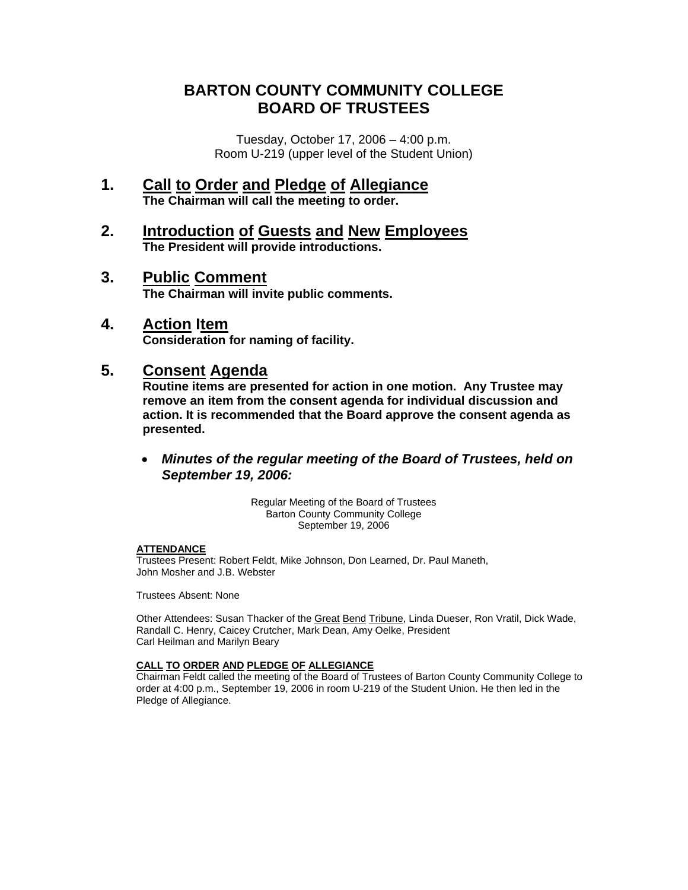# **BARTON COUNTY COMMUNITY COLLEGE BOARD OF TRUSTEES**

Tuesday, October 17, 2006 – 4:00 p.m. Room U-219 (upper level of the Student Union)

- **1. Call to Order and Pledge of Allegiance The Chairman will call the meeting to order.**
- **2. Introduction of Guests and New Employees The President will provide introductions.**
- **3. Public Comment The Chairman will invite public comments.**
- **4. Action Item**

 **Consideration for naming of facility.** 

# **5. Consent Agenda**

 **Routine items are presented for action in one motion. Any Trustee may remove an item from the consent agenda for individual discussion and action. It is recommended that the Board approve the consent agenda as presented.** 

• *Minutes of the regular meeting of the Board of Trustees, held on September 19, 2006:* 

> Regular Meeting of the Board of Trustees Barton County Community College September 19, 2006

#### **ATTENDANCE**

Trustees Present: Robert Feldt, Mike Johnson, Don Learned, Dr. Paul Maneth, John Mosher and J.B. Webster

Trustees Absent: None

Other Attendees: Susan Thacker of the Great Bend Tribune, Linda Dueser, Ron Vratil, Dick Wade, Randall C. Henry, Caicey Crutcher, Mark Dean, Amy Oelke, President Carl Heilman and Marilyn Beary

### **CALL TO ORDER AND PLEDGE OF ALLEGIANCE**

Chairman Feldt called the meeting of the Board of Trustees of Barton County Community College to order at 4:00 p.m., September 19, 2006 in room U-219 of the Student Union. He then led in the Pledge of Allegiance.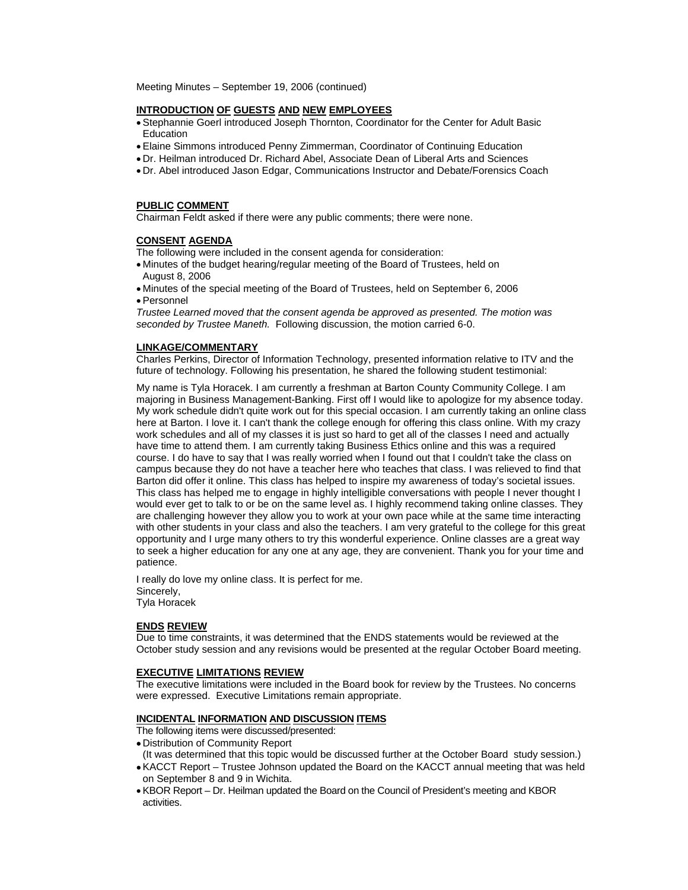Meeting Minutes – September 19, 2006 (continued)

#### **INTRODUCTION OF GUESTS AND NEW EMPLOYEES**

- Stephannie Goerl introduced Joseph Thornton, Coordinator for the Center for Adult Basic **Education**
- Elaine Simmons introduced Penny Zimmerman, Coordinator of Continuing Education
- Dr. Heilman introduced Dr. Richard Abel, Associate Dean of Liberal Arts and Sciences
- Dr. Abel introduced Jason Edgar, Communications Instructor and Debate/Forensics Coach

#### **PUBLIC COMMENT**

Chairman Feldt asked if there were any public comments; there were none.

#### **CONSENT AGENDA**

The following were included in the consent agenda for consideration:

- Minutes of the budget hearing/regular meeting of the Board of Trustees, held on August 8, 2006
- Minutes of the special meeting of the Board of Trustees, held on September 6, 2006 • Personnel

*Trustee Learned moved that the consent agenda be approved as presented. The motion was seconded by Trustee Maneth.* Following discussion, the motion carried 6-0.

#### **LINKAGE/COMMENTARY**

Charles Perkins, Director of Information Technology, presented information relative to ITV and the future of technology. Following his presentation, he shared the following student testimonial:

My name is Tyla Horacek. I am currently a freshman at Barton County Community College. I am majoring in Business Management-Banking. First off I would like to apologize for my absence today. My work schedule didn't quite work out for this special occasion. I am currently taking an online class here at Barton. I love it. I can't thank the college enough for offering this class online. With my crazy work schedules and all of my classes it is just so hard to get all of the classes I need and actually have time to attend them. I am currently taking Business Ethics online and this was a required course. I do have to say that I was really worried when I found out that I couldn't take the class on campus because they do not have a teacher here who teaches that class. I was relieved to find that Barton did offer it online. This class has helped to inspire my awareness of today's societal issues. This class has helped me to engage in highly intelligible conversations with people I never thought I would ever get to talk to or be on the same level as. I highly recommend taking online classes. They are challenging however they allow you to work at your own pace while at the same time interacting with other students in your class and also the teachers. I am very grateful to the college for this great opportunity and I urge many others to try this wonderful experience. Online classes are a great way to seek a higher education for any one at any age, they are convenient. Thank you for your time and patience.

I really do love my online class. It is perfect for me. Sincerely, Tyla Horacek

#### **ENDS REVIEW**

Due to time constraints, it was determined that the ENDS statements would be reviewed at the October study session and any revisions would be presented at the regular October Board meeting.

#### **EXECUTIVE LIMITATIONS REVIEW**

The executive limitations were included in the Board book for review by the Trustees. No concerns were expressed. Executive Limitations remain appropriate.

#### **INCIDENTAL INFORMATION AND DISCUSSION ITEMS**

The following items were discussed/presented:

- Distribution of Community Report
- (It was determined that this topic would be discussed further at the October Board study session.) • KACCT Report – Trustee Johnson updated the Board on the KACCT annual meeting that was held
- on September 8 and 9 in Wichita.
- KBOR Report Dr. Heilman updated the Board on the Council of President's meeting and KBOR activities.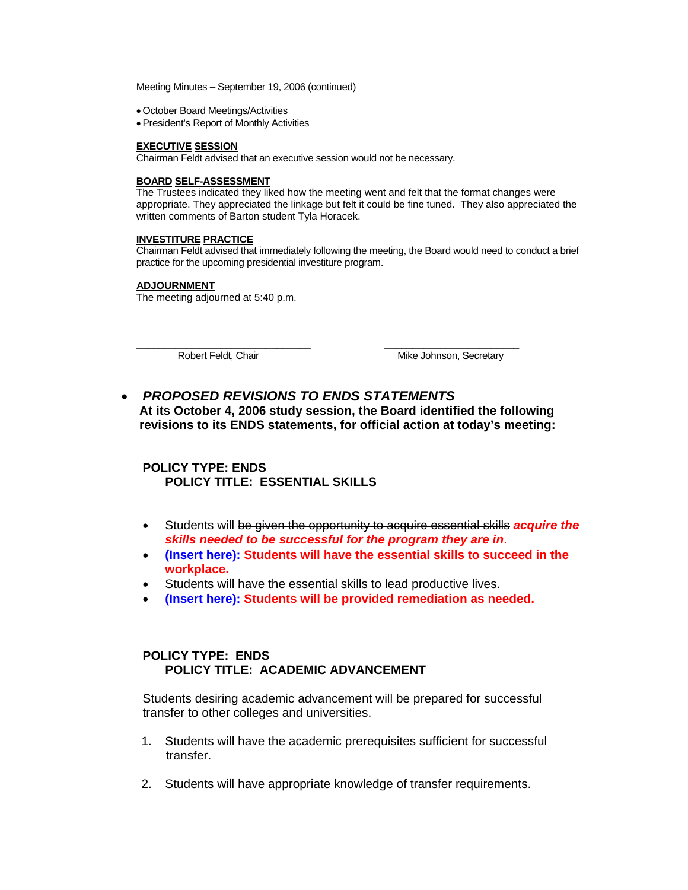Meeting Minutes – September 19, 2006 (continued)

- October Board Meetings/Activities
- President's Report of Monthly Activities

#### **EXECUTIVE SESSION**

Chairman Feldt advised that an executive session would not be necessary.

#### **BOARD SELF-ASSESSMENT**

The Trustees indicated they liked how the meeting went and felt that the format changes were appropriate. They appreciated the linkage but felt it could be fine tuned. They also appreciated the written comments of Barton student Tyla Horacek.

#### **INVESTITURE PRACTICE**

Chairman Feldt advised that immediately following the meeting, the Board would need to conduct a brief practice for the upcoming presidential investiture program.

#### **ADJOURNMENT**

The meeting adjourned at 5:40 p.m.

\_\_\_\_\_\_\_\_\_\_\_\_\_\_\_\_\_\_\_\_\_\_\_\_\_\_\_\_\_\_\_ \_\_\_\_\_\_\_\_\_\_\_\_\_\_\_\_\_\_\_\_\_\_\_\_ Robert Feldt, Chair **Mike Johnson, Secretary** 

• *PROPOSED REVISIONS TO ENDS STATEMENTS*  **At its October 4, 2006 study session, the Board identified the following revisions to its ENDS statements, for official action at today's meeting:** 

## **POLICY TYPE: ENDS POLICY TITLE: ESSENTIAL SKILLS**

- Students will be given the opportunity to acquire essential skills *acquire the skills needed to be successful for the program they are in*.
- **(Insert here): Students will have the essential skills to succeed in the workplace.**
- Students will have the essential skills to lead productive lives.
- **(Insert here): Students will be provided remediation as needed.**

## **POLICY TYPE: ENDS POLICY TITLE: ACADEMIC ADVANCEMENT**

 Students desiring academic advancement will be prepared for successful transfer to other colleges and universities.

- 1. Students will have the academic prerequisites sufficient for successful transfer.
- 2. Students will have appropriate knowledge of transfer requirements.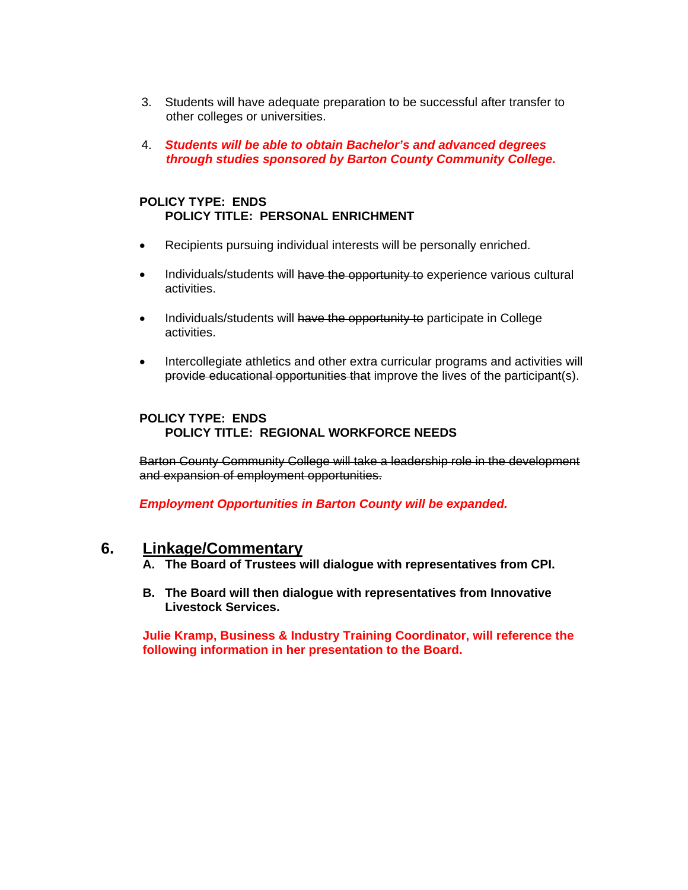- 3. Students will have adequate preparation to be successful after transfer to other colleges or universities.
- 4. *Students will be able to obtain Bachelor's and advanced degrees through studies sponsored by Barton County Community College.*

### **POLICY TYPE: ENDS POLICY TITLE: PERSONAL ENRICHMENT**

- Recipients pursuing individual interests will be personally enriched.
- Individuals/students will have the opportunity to experience various cultural activities.
- Individuals/students will have the opportunity to participate in College activities.
- Intercollegiate athletics and other extra curricular programs and activities will provide educational opportunities that improve the lives of the participant(s).

## **POLICY TYPE: ENDS POLICY TITLE: REGIONAL WORKFORCE NEEDS**

Barton County Community College will take a leadership role in the development and expansion of employment opportunities.

 *Employment Opportunities in Barton County will be expanded.* 

# **6. Linkage/Commentary**

 **A. The Board of Trustees will dialogue with representatives from CPI.** 

 **B. The Board will then dialogue with representatives from Innovative Livestock Services.** 

**Julie Kramp, Business & Industry Training Coordinator, will reference the following information in her presentation to the Board.**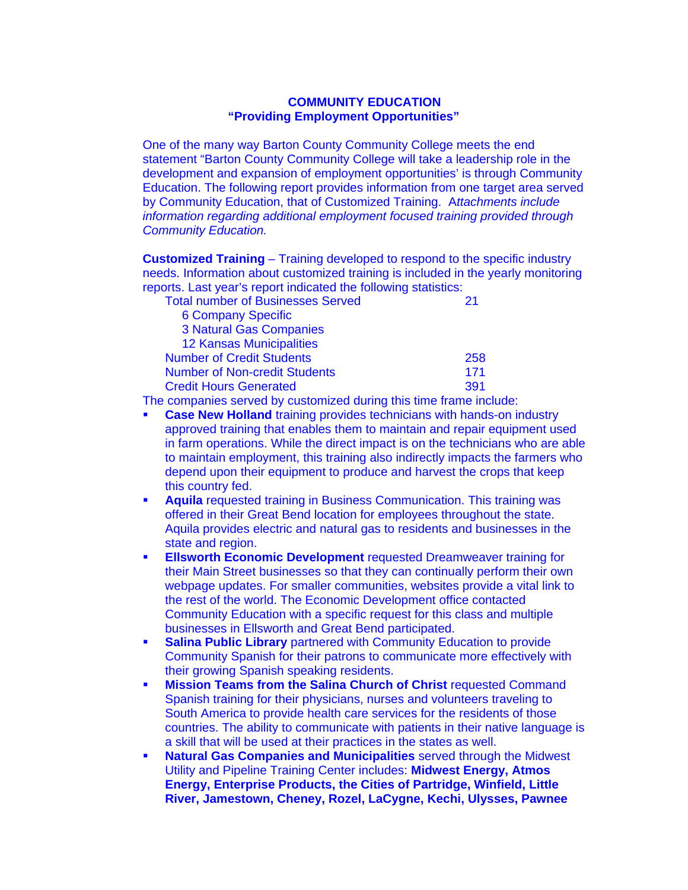#### **COMMUNITY EDUCATION "Providing Employment Opportunities"**

 One of the many way Barton County Community College meets the end statement "Barton County Community College will take a leadership role in the development and expansion of employment opportunities' is through Community Education. The following report provides information from one target area served by Community Education, that of Customized Training. A*ttachments include information regarding additional employment focused training provided through Community Education.* 

 **Customized Training** – Training developed to respond to the specific industry needs. Information about customized training is included in the yearly monitoring reports. Last year's report indicated the following statistics:

| <b>Total number of Businesses Served</b> |     |
|------------------------------------------|-----|
| <b>6 Company Specific</b>                |     |
| <b>3 Natural Gas Companies</b>           |     |
| <b>12 Kansas Municipalities</b>          |     |
| <b>Number of Credit Students</b>         | 258 |
| <b>Number of Non-credit Students</b>     | 171 |
| <b>Credit Hours Generated</b>            | 391 |

The companies served by customized during this time frame include:

- **Case New Holland** training provides technicians with hands-on industry approved training that enables them to maintain and repair equipment used in farm operations. While the direct impact is on the technicians who are able to maintain employment, this training also indirectly impacts the farmers who depend upon their equipment to produce and harvest the crops that keep this country fed.
- **Aquila** requested training in Business Communication. This training was offered in their Great Bend location for employees throughout the state. Aquila provides electric and natural gas to residents and businesses in the state and region.
- **Ellsworth Economic Development** requested Dreamweaver training for their Main Street businesses so that they can continually perform their own webpage updates. For smaller communities, websites provide a vital link to the rest of the world. The Economic Development office contacted Community Education with a specific request for this class and multiple businesses in Ellsworth and Great Bend participated.
- **Salina Public Library** partnered with Community Education to provide Community Spanish for their patrons to communicate more effectively with their growing Spanish speaking residents.
- **Mission Teams from the Salina Church of Christ requested Command**  Spanish training for their physicians, nurses and volunteers traveling to South America to provide health care services for the residents of those countries. The ability to communicate with patients in their native language is a skill that will be used at their practices in the states as well.
- **Natural Gas Companies and Municipalities** served through the Midwest Utility and Pipeline Training Center includes: **Midwest Energy, Atmos Energy, Enterprise Products, the Cities of Partridge, Winfield, Little River, Jamestown, Cheney, Rozel, LaCygne, Kechi, Ulysses, Pawnee**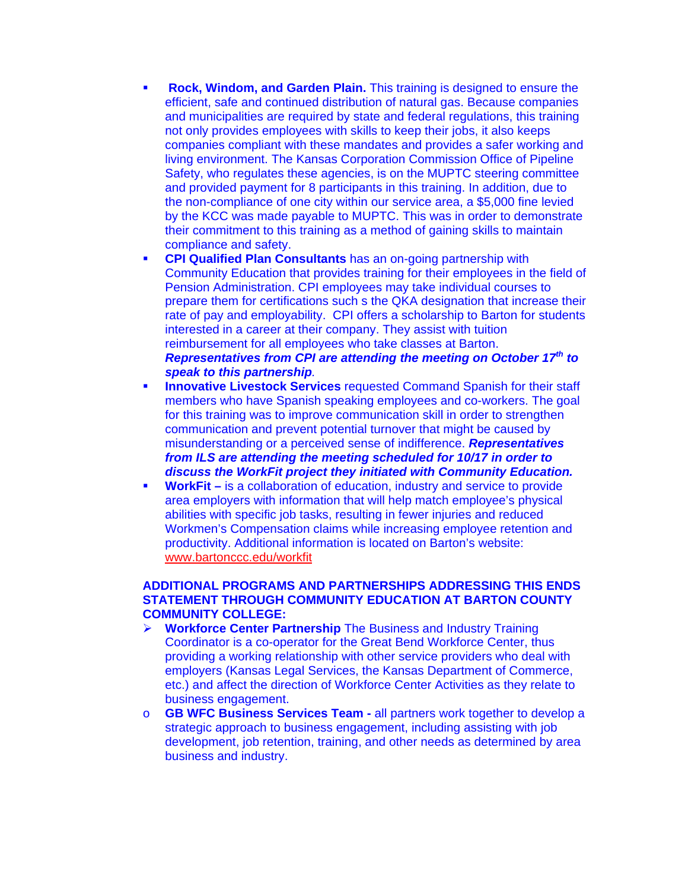- **Rock, Windom, and Garden Plain.** This training is designed to ensure the efficient, safe and continued distribution of natural gas. Because companies and municipalities are required by state and federal regulations, this training not only provides employees with skills to keep their jobs, it also keeps companies compliant with these mandates and provides a safer working and living environment. The Kansas Corporation Commission Office of Pipeline Safety, who regulates these agencies, is on the MUPTC steering committee and provided payment for 8 participants in this training. In addition, due to the non-compliance of one city within our service area, a \$5,000 fine levied by the KCC was made payable to MUPTC. This was in order to demonstrate their commitment to this training as a method of gaining skills to maintain compliance and safety.
- **CPI Qualified Plan Consultants** has an on-going partnership with Community Education that provides training for their employees in the field of Pension Administration. CPI employees may take individual courses to prepare them for certifications such s the QKA designation that increase their rate of pay and employability. CPI offers a scholarship to Barton for students interested in a career at their company. They assist with tuition reimbursement for all employees who take classes at Barton. *Representatives from CPI are attending the meeting on October 17th to speak to this partnership.*
- **Innovative Livestock Services** requested Command Spanish for their staff members who have Spanish speaking employees and co-workers. The goal for this training was to improve communication skill in order to strengthen communication and prevent potential turnover that might be caused by misunderstanding or a perceived sense of indifference. *Representatives from ILS are attending the meeting scheduled for 10/17 in order to discuss the WorkFit project they initiated with Community Education.*
- **WorkFit** is a collaboration of education, industry and service to provide area employers with information that will help match employee's physical abilities with specific job tasks, resulting in fewer injuries and reduced Workmen's Compensation claims while increasing employee retention and productivity. Additional information is located on Barton's website: [www.bartonccc.edu/workfit](http://www.bartonccc.edu/workfit)

## **ADDITIONAL PROGRAMS AND PARTNERSHIPS ADDRESSING THIS ENDS STATEMENT THROUGH COMMUNITY EDUCATION AT BARTON COUNTY COMMUNITY COLLEGE:**

- ¾ **Workforce Center Partnership** The Business and Industry Training Coordinator is a co-operator for the Great Bend Workforce Center, thus providing a working relationship with other service providers who deal with employers (Kansas Legal Services, the Kansas Department of Commerce, etc.) and affect the direction of Workforce Center Activities as they relate to business engagement.
- o **GB WFC Business Services Team** all partners work together to develop a strategic approach to business engagement, including assisting with job development, job retention, training, and other needs as determined by area business and industry.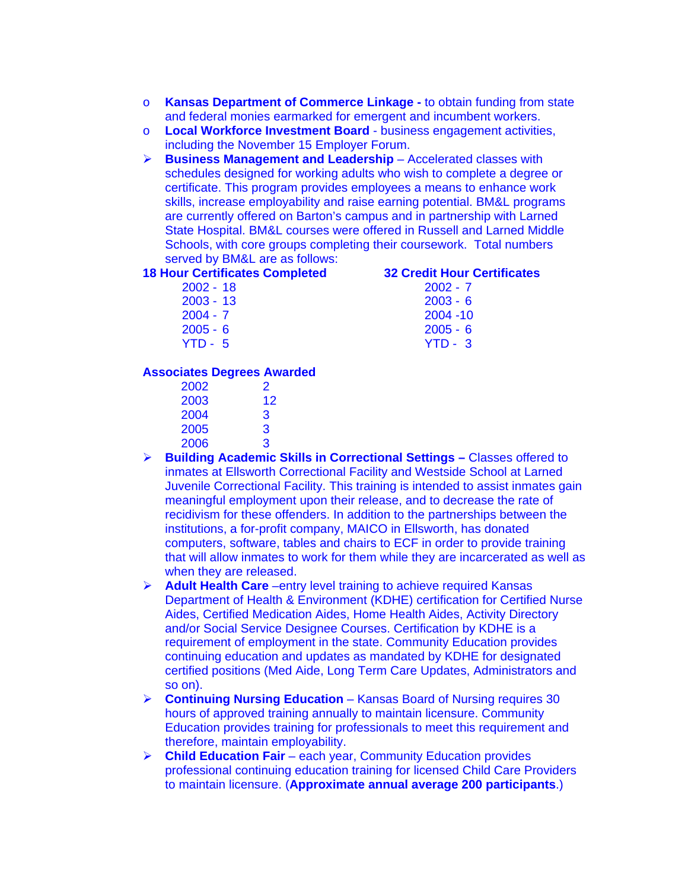- o **Kansas Department of Commerce Linkage** to obtain funding from state and federal monies earmarked for emergent and incumbent workers.
- o **Local Workforce Investment Board**  business engagement activities, including the November 15 Employer Forum.
- ¾ **Business Management and Leadership**  Accelerated classes with schedules designed for working adults who wish to complete a degree or certificate. This program provides employees a means to enhance work skills, increase employability and raise earning potential. BM&L programs are currently offered on Barton's campus and in partnership with Larned State Hospital. BM&L courses were offered in Russell and Larned Middle Schools, with core groups completing their coursework. Total numbers served by BM&L are as follows:

#### **18 Hour Certificates Completed 32 Credit Hour Certificates**

| 2002 - 18   |  |
|-------------|--|
| $2003 - 13$ |  |
| $2004 - 7$  |  |
| $2005 - 6$  |  |
| VTD E       |  |

 $2002 - 7$  $2003 - 6$  $2004 - 10$  $2005 - 6$ YTD - 5 YTD - 3

#### **Associates Degrees Awarded**

| 2002 | 2  |
|------|----|
| 2003 | 12 |
| 2004 | З  |
| 2005 | З  |
| 2006 | 3  |

- ¾ **Building Academic Skills in Correctional Settings** Classes offered to inmates at Ellsworth Correctional Facility and Westside School at Larned Juvenile Correctional Facility. This training is intended to assist inmates gain meaningful employment upon their release, and to decrease the rate of recidivism for these offenders. In addition to the partnerships between the institutions, a for-profit company, MAICO in Ellsworth, has donated computers, software, tables and chairs to ECF in order to provide training that will allow inmates to work for them while they are incarcerated as well as when they are released.
- ¾ **Adult Health Care** –entry level training to achieve required Kansas Department of Health & Environment (KDHE) certification for Certified Nurse Aides, Certified Medication Aides, Home Health Aides, Activity Directory and/or Social Service Designee Courses. Certification by KDHE is a requirement of employment in the state. Community Education provides continuing education and updates as mandated by KDHE for designated certified positions (Med Aide, Long Term Care Updates, Administrators and so on).
- ¾ **Continuing Nursing Education** Kansas Board of Nursing requires 30 hours of approved training annually to maintain licensure. Community Education provides training for professionals to meet this requirement and therefore, maintain employability.
- ¾ **Child Education Fair** each year, Community Education provides professional continuing education training for licensed Child Care Providers to maintain licensure. (**Approximate annual average 200 participants**.)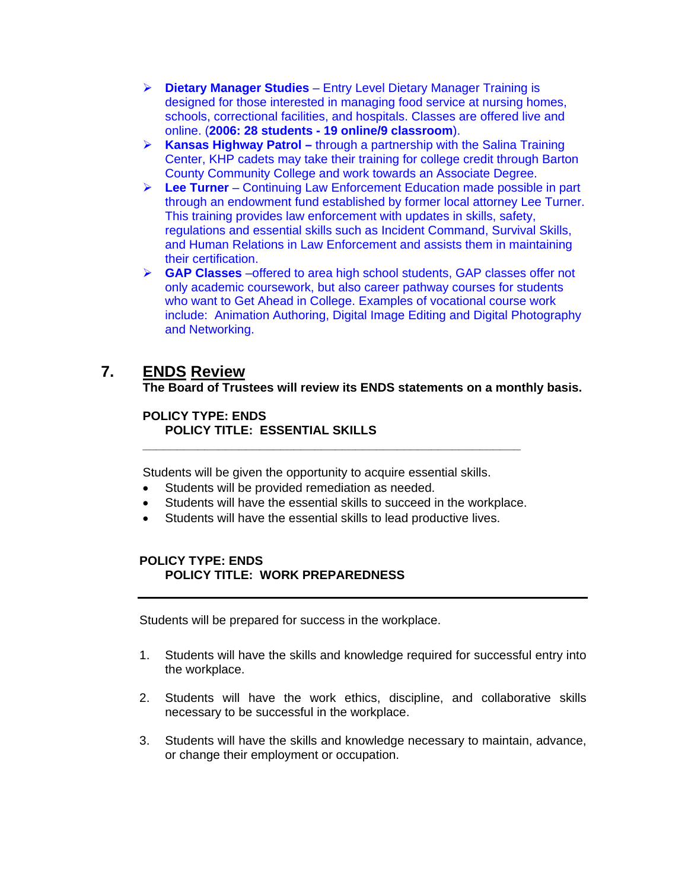- ¾ **Dietary Manager Studies** Entry Level Dietary Manager Training is designed for those interested in managing food service at nursing homes, schools, correctional facilities, and hospitals. Classes are offered live and online. (**2006: 28 students - 19 online/9 classroom**).
- ¾ **Kansas Highway Patrol** through a partnership with the Salina Training Center, KHP cadets may take their training for college credit through Barton County Community College and work towards an Associate Degree.
- ¾ **Lee Turner**  Continuing Law Enforcement Education made possible in part through an endowment fund established by former local attorney Lee Turner. This training provides law enforcement with updates in skills, safety, regulations and essential skills such as Incident Command, Survival Skills, and Human Relations in Law Enforcement and assists them in maintaining their certification.
- ¾ **GAP Classes** –offered to area high school students, GAP classes offer not only academic coursework, but also career pathway courses for students who want to Get Ahead in College. Examples of vocational course work include: Animation Authoring, Digital Image Editing and Digital Photography and Networking.

# **7. ENDS Review**

 **The Board of Trustees will review its ENDS statements on a monthly basis.** 

### **POLICY TYPE: ENDS POLICY TITLE: ESSENTIAL SKILLS \_\_\_\_\_\_\_\_\_\_\_\_\_\_\_\_\_\_\_\_\_\_\_\_\_\_\_\_\_\_\_\_\_\_\_\_\_\_\_\_\_\_\_\_\_\_\_\_\_\_\_\_\_\_\_**

Students will be given the opportunity to acquire essential skills.

- Students will be provided remediation as needed.
- Students will have the essential skills to succeed in the workplace.
- Students will have the essential skills to lead productive lives.

## **POLICY TYPE: ENDS POLICY TITLE: WORK PREPAREDNESS**

Students will be prepared for success in the workplace.

- 1. Students will have the skills and knowledge required for successful entry into the workplace.
- 2. Students will have the work ethics, discipline, and collaborative skills necessary to be successful in the workplace.
- 3. Students will have the skills and knowledge necessary to maintain, advance, or change their employment or occupation.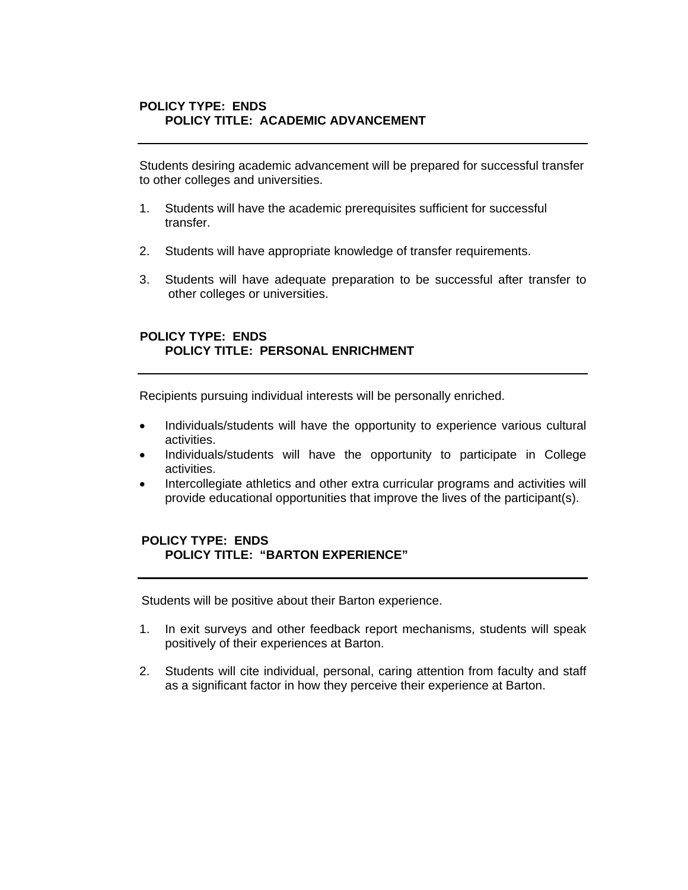## **POLICY TYPE: ENDS POLICY TITLE: ACADEMIC ADVANCEMENT**

 Students desiring academic advancement will be prepared for successful transfer to other colleges and universities.

- 1. Students will have the academic prerequisites sufficient for successful transfer.
- 2. Students will have appropriate knowledge of transfer requirements.
- 3. Students will have adequate preparation to be successful after transfer to other colleges or universities.

## **POLICY TYPE: ENDS POLICY TITLE: PERSONAL ENRICHMENT**

Recipients pursuing individual interests will be personally enriched.

- Individuals/students will have the opportunity to experience various cultural activities.
- Individuals/students will have the opportunity to participate in College activities.
- Intercollegiate athletics and other extra curricular programs and activities will provide educational opportunities that improve the lives of the participant(s).

## **POLICY TYPE: ENDS POLICY TITLE: "BARTON EXPERIENCE"**

Students will be positive about their Barton experience.

- 1. In exit surveys and other feedback report mechanisms, students will speak positively of their experiences at Barton.
- 2. Students will cite individual, personal, caring attention from faculty and staff as a significant factor in how they perceive their experience at Barton.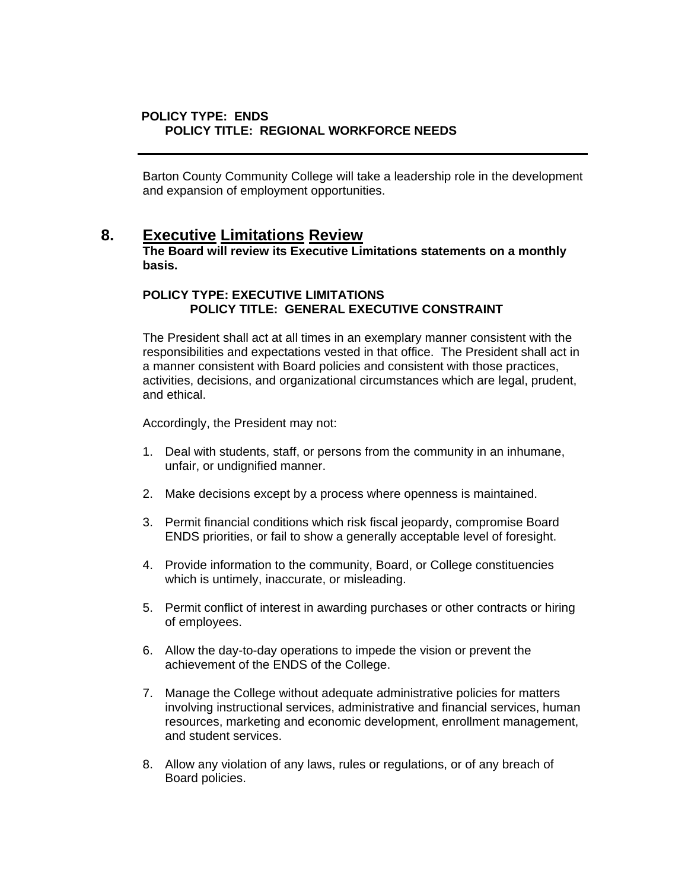## **POLICY TYPE: ENDS POLICY TITLE: REGIONAL WORKFORCE NEEDS**

 Barton County Community College will take a leadership role in the development and expansion of employment opportunities.

# **8. Executive Limitations Review**

 **The Board will review its Executive Limitations statements on a monthly basis.** 

## **POLICY TYPE: EXECUTIVE LIMITATIONS POLICY TITLE: GENERAL EXECUTIVE CONSTRAINT**

The President shall act at all times in an exemplary manner consistent with the responsibilities and expectations vested in that office. The President shall act in a manner consistent with Board policies and consistent with those practices, activities, decisions, and organizational circumstances which are legal, prudent, and ethical.

Accordingly, the President may not:

- 1. Deal with students, staff, or persons from the community in an inhumane, unfair, or undignified manner.
- 2. Make decisions except by a process where openness is maintained.
- 3. Permit financial conditions which risk fiscal jeopardy, compromise Board ENDS priorities, or fail to show a generally acceptable level of foresight.
- 4. Provide information to the community, Board, or College constituencies which is untimely, inaccurate, or misleading.
- 5. Permit conflict of interest in awarding purchases or other contracts or hiring of employees.
- 6. Allow the day-to-day operations to impede the vision or prevent the achievement of the ENDS of the College.
- 7. Manage the College without adequate administrative policies for matters involving instructional services, administrative and financial services, human resources, marketing and economic development, enrollment management, and student services.
- 8. Allow any violation of any laws, rules or regulations, or of any breach of Board policies.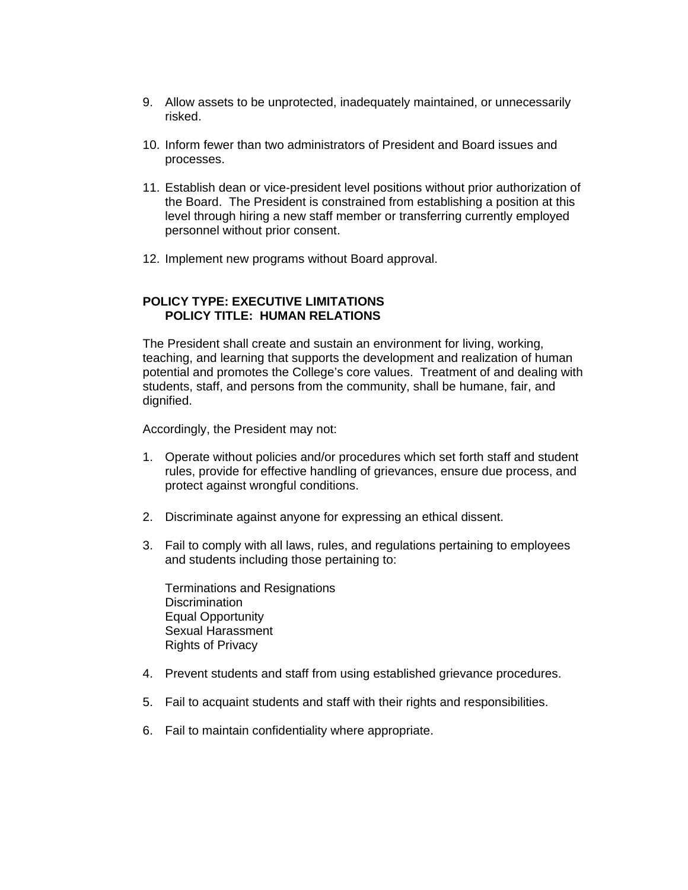- 9. Allow assets to be unprotected, inadequately maintained, or unnecessarily risked.
- 10. Inform fewer than two administrators of President and Board issues and processes.
- 11. Establish dean or vice-president level positions without prior authorization of the Board. The President is constrained from establishing a position at this level through hiring a new staff member or transferring currently employed personnel without prior consent.
- 12. Implement new programs without Board approval.

## **POLICY TYPE: EXECUTIVE LIMITATIONS POLICY TITLE: HUMAN RELATIONS**

The President shall create and sustain an environment for living, working, teaching, and learning that supports the development and realization of human potential and promotes the College's core values. Treatment of and dealing with students, staff, and persons from the community, shall be humane, fair, and dignified.

Accordingly, the President may not:

- 1. Operate without policies and/or procedures which set forth staff and student rules, provide for effective handling of grievances, ensure due process, and protect against wrongful conditions.
- 2. Discriminate against anyone for expressing an ethical dissent.
- 3. Fail to comply with all laws, rules, and regulations pertaining to employees and students including those pertaining to:

 Terminations and Resignations **Discrimination**  Equal Opportunity Sexual Harassment Rights of Privacy

- 4. Prevent students and staff from using established grievance procedures.
- 5. Fail to acquaint students and staff with their rights and responsibilities.
- 6. Fail to maintain confidentiality where appropriate.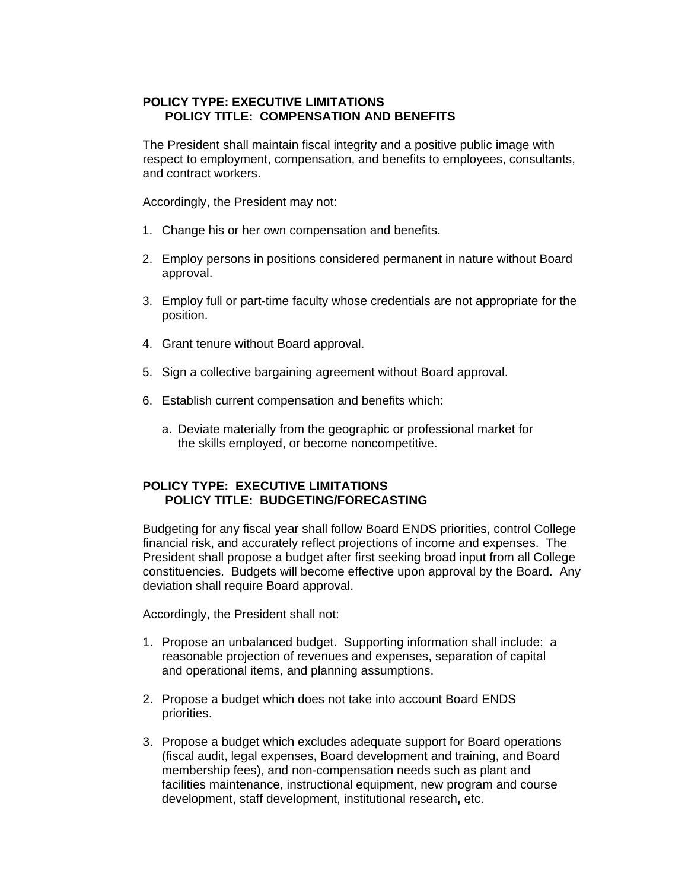## **POLICY TYPE: EXECUTIVE LIMITATIONS POLICY TITLE: COMPENSATION AND BENEFITS**

The President shall maintain fiscal integrity and a positive public image with respect to employment, compensation, and benefits to employees, consultants, and contract workers.

Accordingly, the President may not:

- 1. Change his or her own compensation and benefits.
- 2. Employ persons in positions considered permanent in nature without Board approval.
- 3. Employ full or part-time faculty whose credentials are not appropriate for the position.
- 4. Grant tenure without Board approval.
- 5. Sign a collective bargaining agreement without Board approval.
- 6. Establish current compensation and benefits which:
	- a. Deviate materially from the geographic or professional market for the skills employed, or become noncompetitive.

## **POLICY TYPE: EXECUTIVE LIMITATIONS POLICY TITLE: BUDGETING/FORECASTING**

Budgeting for any fiscal year shall follow Board ENDS priorities, control College financial risk, and accurately reflect projections of income and expenses. The President shall propose a budget after first seeking broad input from all College constituencies. Budgets will become effective upon approval by the Board. Any deviation shall require Board approval.

Accordingly, the President shall not:

- 1. Propose an unbalanced budget. Supporting information shall include: a reasonable projection of revenues and expenses, separation of capital and operational items, and planning assumptions.
- 2. Propose a budget which does not take into account Board ENDS priorities.
- 3. Propose a budget which excludes adequate support for Board operations (fiscal audit, legal expenses, Board development and training, and Board membership fees), and non-compensation needs such as plant and facilities maintenance, instructional equipment, new program and course development, staff development, institutional research**,** etc.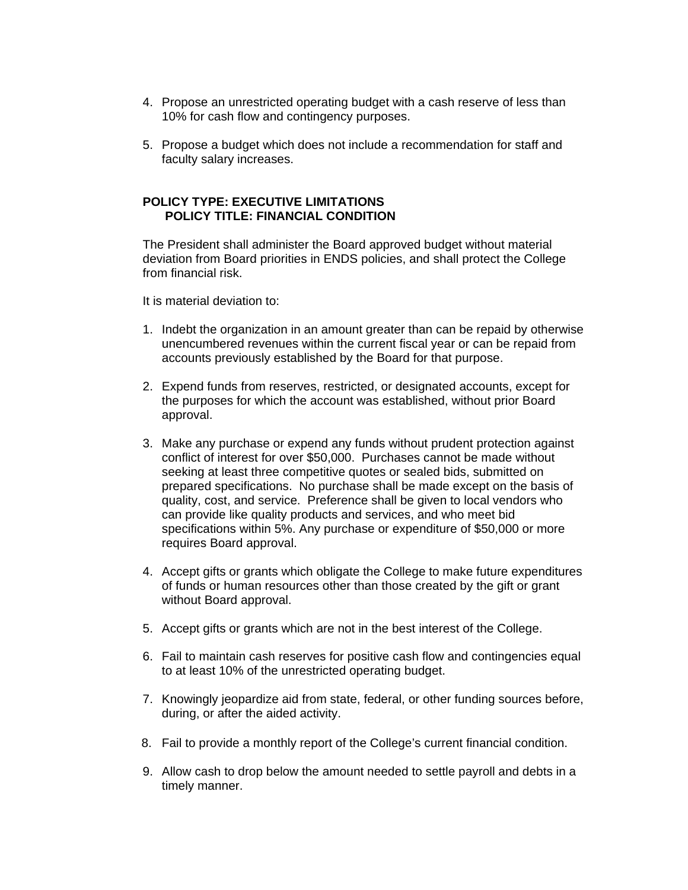- 4. Propose an unrestricted operating budget with a cash reserve of less than 10% for cash flow and contingency purposes.
- 5. Propose a budget which does not include a recommendation for staff and faculty salary increases.

#### **POLICY TYPE: EXECUTIVE LIMITATIONS POLICY TITLE: FINANCIAL CONDITION**

The President shall administer the Board approved budget without material deviation from Board priorities in ENDS policies, and shall protect the College from financial risk.

It is material deviation to:

- 1. Indebt the organization in an amount greater than can be repaid by otherwise unencumbered revenues within the current fiscal year or can be repaid from accounts previously established by the Board for that purpose.
- 2. Expend funds from reserves, restricted, or designated accounts, except for the purposes for which the account was established, without prior Board approval.
- 3. Make any purchase or expend any funds without prudent protection against conflict of interest for over \$50,000. Purchases cannot be made without seeking at least three competitive quotes or sealed bids, submitted on prepared specifications. No purchase shall be made except on the basis of quality, cost, and service. Preference shall be given to local vendors who can provide like quality products and services, and who meet bid specifications within 5%. Any purchase or expenditure of \$50,000 or more requires Board approval.
- 4. Accept gifts or grants which obligate the College to make future expenditures of funds or human resources other than those created by the gift or grant without Board approval.
- 5. Accept gifts or grants which are not in the best interest of the College.
- 6. Fail to maintain cash reserves for positive cash flow and contingencies equal to at least 10% of the unrestricted operating budget.
- 7. Knowingly jeopardize aid from state, federal, or other funding sources before, during, or after the aided activity.
- 8. Fail to provide a monthly report of the College's current financial condition.
- 9. Allow cash to drop below the amount needed to settle payroll and debts in a timely manner.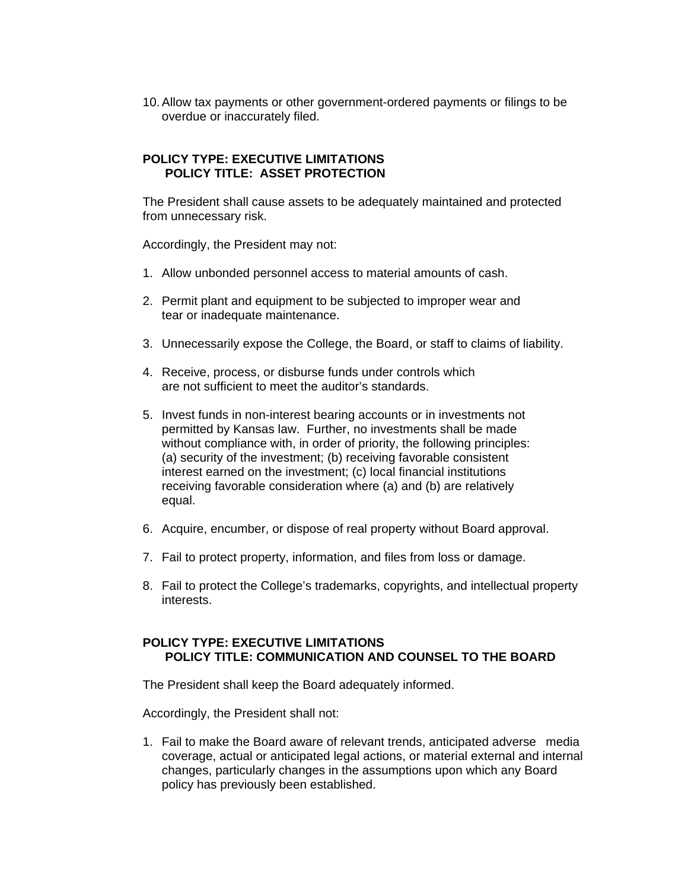10. Allow tax payments or other government-ordered payments or filings to be overdue or inaccurately filed.

## **POLICY TYPE: EXECUTIVE LIMITATIONS POLICY TITLE: ASSET PROTECTION**

The President shall cause assets to be adequately maintained and protected from unnecessary risk.

Accordingly, the President may not:

- 1. Allow unbonded personnel access to material amounts of cash.
- 2. Permit plant and equipment to be subjected to improper wear and tear or inadequate maintenance.
- 3. Unnecessarily expose the College, the Board, or staff to claims of liability.
- 4. Receive, process, or disburse funds under controls which are not sufficient to meet the auditor's standards.
- 5. Invest funds in non-interest bearing accounts or in investments not permitted by Kansas law. Further, no investments shall be made without compliance with, in order of priority, the following principles: (a) security of the investment; (b) receiving favorable consistent interest earned on the investment; (c) local financial institutions receiving favorable consideration where (a) and (b) are relatively equal.
- 6. Acquire, encumber, or dispose of real property without Board approval.
- 7. Fail to protect property, information, and files from loss or damage.
- 8. Fail to protect the College's trademarks, copyrights, and intellectual property interests.

## **POLICY TYPE: EXECUTIVE LIMITATIONS POLICY TITLE: COMMUNICATION AND COUNSEL TO THE BOARD**

The President shall keep the Board adequately informed.

Accordingly, the President shall not:

1. Fail to make the Board aware of relevant trends, anticipated adverse media coverage, actual or anticipated legal actions, or material external and internal changes, particularly changes in the assumptions upon which any Board policy has previously been established.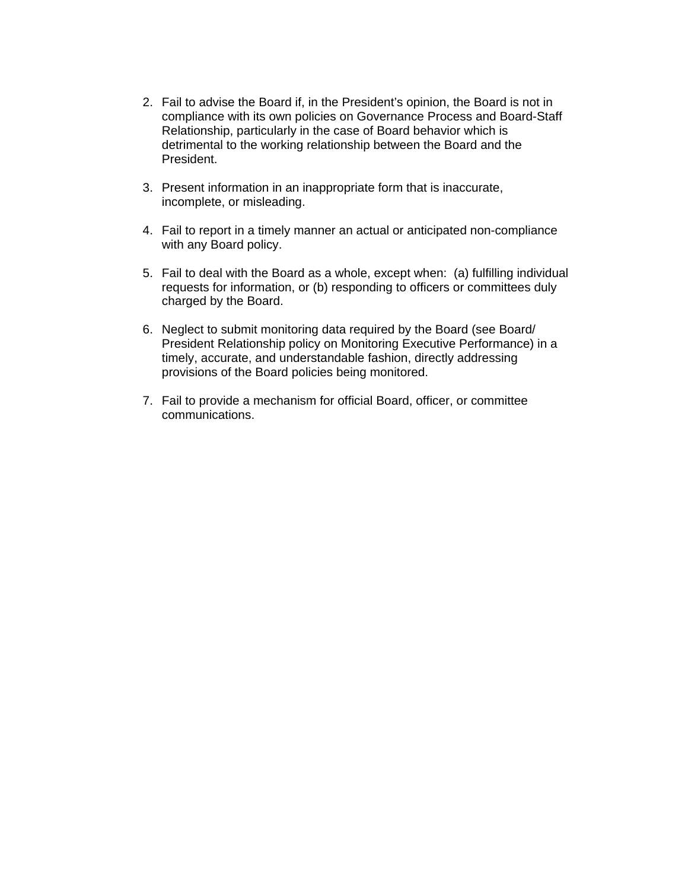- 2. Fail to advise the Board if, in the President's opinion, the Board is not in compliance with its own policies on Governance Process and Board-Staff Relationship, particularly in the case of Board behavior which is detrimental to the working relationship between the Board and the President.
- 3. Present information in an inappropriate form that is inaccurate, incomplete, or misleading.
- 4. Fail to report in a timely manner an actual or anticipated non-compliance with any Board policy.
- 5. Fail to deal with the Board as a whole, except when: (a) fulfilling individual requests for information, or (b) responding to officers or committees duly charged by the Board.
- 6. Neglect to submit monitoring data required by the Board (see Board/ President Relationship policy on Monitoring Executive Performance) in a timely, accurate, and understandable fashion, directly addressing provisions of the Board policies being monitored.
- 7. Fail to provide a mechanism for official Board, officer, or committee communications.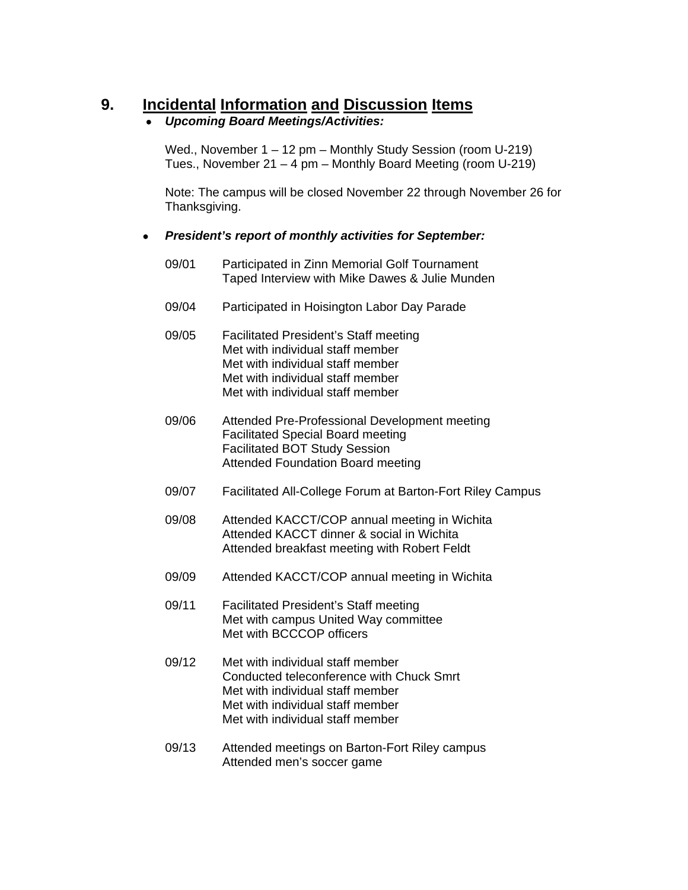# **9. Incidental Information and Discussion Items**

## • *Upcoming Board Meetings/Activities:*

Wed., November 1 – 12 pm – Monthly Study Session (room U-219) Tues., November 21 – 4 pm – Monthly Board Meeting (room U-219)

 Note: The campus will be closed November 22 through November 26 for Thanksgiving.

- *President's report of monthly activities for September:* 
	- 09/01 Participated in Zinn Memorial Golf Tournament Taped Interview with Mike Dawes & Julie Munden
	- 09/04 Participated in Hoisington Labor Day Parade
	- 09/05 Facilitated President's Staff meeting Met with individual staff member Met with individual staff member Met with individual staff member Met with individual staff member
	- 09/06 Attended Pre-Professional Development meeting Facilitated Special Board meeting Facilitated BOT Study Session Attended Foundation Board meeting
	- 09/07 Facilitated All-College Forum at Barton-Fort Riley Campus
	- 09/08 Attended KACCT/COP annual meeting in Wichita Attended KACCT dinner & social in Wichita Attended breakfast meeting with Robert Feldt
	- 09/09 Attended KACCT/COP annual meeting in Wichita
	- 09/11 Facilitated President's Staff meeting Met with campus United Way committee Met with BCCCOP officers
	- 09/12 Met with individual staff member Conducted teleconference with Chuck Smrt Met with individual staff member Met with individual staff member Met with individual staff member
	- 09/13 Attended meetings on Barton-Fort Riley campus Attended men's soccer game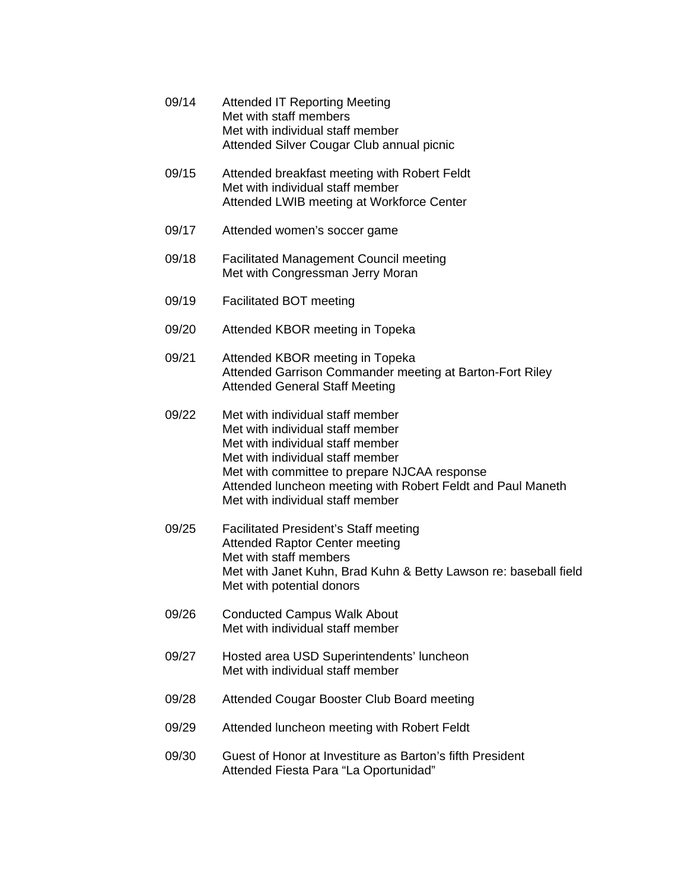- 09/14 Attended IT Reporting Meeting Met with staff members Met with individual staff member Attended Silver Cougar Club annual picnic 09/15 Attended breakfast meeting with Robert Feldt Met with individual staff member Attended LWIB meeting at Workforce Center 09/17 Attended women's soccer game 09/18 Facilitated Management Council meeting Met with Congressman Jerry Moran 09/19 Facilitated BOT meeting 09/20 Attended KBOR meeting in Topeka
- 09/21 Attended KBOR meeting in Topeka Attended Garrison Commander meeting at Barton-Fort Riley Attended General Staff Meeting
- 09/22 Met with individual staff member Met with individual staff member Met with individual staff member Met with individual staff member Met with committee to prepare NJCAA response Attended luncheon meeting with Robert Feldt and Paul Maneth Met with individual staff member
- 09/25 Facilitated President's Staff meeting Attended Raptor Center meeting Met with staff members Met with Janet Kuhn, Brad Kuhn & Betty Lawson re: baseball field Met with potential donors
- 09/26 Conducted Campus Walk About Met with individual staff member
- 09/27 Hosted area USD Superintendents' luncheon Met with individual staff member
- 09/28 Attended Cougar Booster Club Board meeting
- 09/29 Attended luncheon meeting with Robert Feldt
- 09/30 Guest of Honor at Investiture as Barton's fifth President Attended Fiesta Para "La Oportunidad"